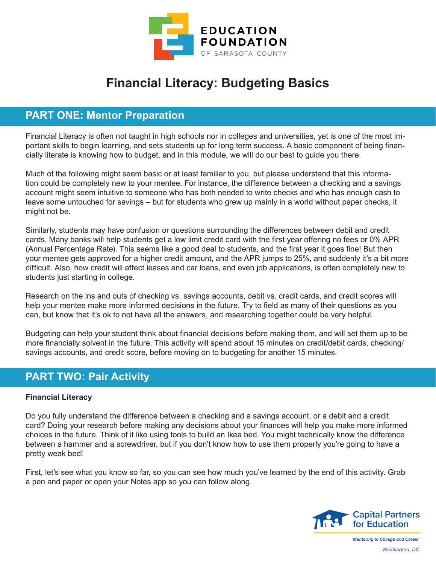

# **Financial Literacy: Budgeting Basics**

## **PART ONE: Mentor Preparation**

Financial Literacy is often not taught in high schools nor in colleges and universities, yet is one of the most important skills to begin learning, and sets students up for long term success. A basic component of being financially literate is knowing how to budget, and in this module, we will do our best to guide you there.

Much of the following might seem basic or at least familiar to you, but please understand that this information could be completely new to your mentee. For instance, the difference between a checking and a savings account might seem intuitive to someone who has both needed to write checks and who has enough cash to leave some untouched for savings – but for students who grew up mainly in a world without paper checks, it might not be.

Similarly, students may have confusion or questions surrounding the differences between debit and credit cards. Many banks will help students get a low limit credit card with the first year offering no fees or 0% APR (Annual Percentage Rate). This seems like a good deal to students, and the first year it goes fine! But then your mentee gets approved for a higher credit amount, and the APR jumps to 25%, and suddenly it's a bit more difficult. Also, how credit will affect leases and car loans, and even job applications, is often completely new to students just starting in college.

Research on the ins and outs of checking vs. savings accounts, debit vs. credit cards, and credit scores will help your mentee make more informed decisions in the future. Try to field as many of their questions as you can, but know that it's ok to not have all the answers, and researching together could be very helpful.

Budgeting can help your student think about financial decisions before making them, and will set them up to be more financially solvent in the future. This activity will spend about 15 minutes on credit/debit cards, checking/ savings accounts, and credit score, before moving on to budgeting for another 15 minutes.

## **PART TWO: Pair Activity**

#### **Financial Literacy**

Do you fully understand the difference between a checking and a savings account, or a debit and a credit card? Doing your research before making any decisions about your finances will help you make more informed choices in the future. Think of it like using tools to build an Ikea bed. You might technically know the difference between a hammer and a screwdriver, but if you don't know how to use them properly you're going to have a pretty weak bed!

First, let's see what you know so far, so you can see how much you've learned by the end of this activity. Grab a pen and paper or open your Notes app so you can follow along.



**Mentoring to College and Career** *Washington, DC*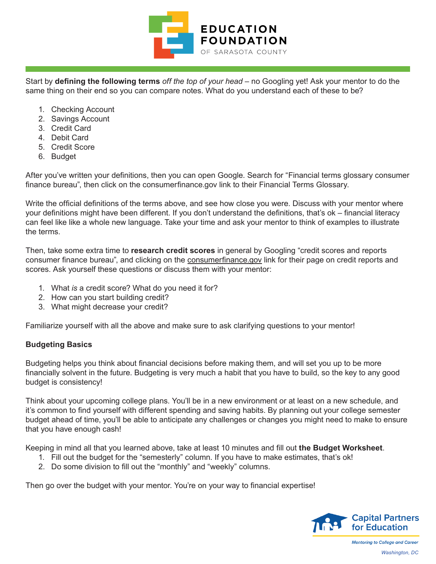

Start by **defining the following terms** *off the top of your head* – no Googling yet! Ask your mentor to do the same thing on their end so you can compare notes. What do you understand each of these to be?

- 1. Checking Account
- 2. Savings Account
- 3. Credit Card
- 4. Debit Card
- 5. Credit Score
- 6. Budget

After you've written your definitions, then you can open Google. Search for "Financial terms glossary consumer finance bureau", then click on the consumerfinance.gov link to their Financial Terms Glossary.

Write the official definitions of the terms above, and see how close you were. Discuss with your mentor where your definitions might have been different. If you don't understand the definitions, that's ok – financial literacy can feel like like a whole new language. Take your time and ask your mentor to think of examples to illustrate the terms.

Then, take some extra time to **research credit scores** in general by Googling "credit scores and reports consumer finance bureau", and clicking on the consumerfinance.gov link for their page on credit reports and scores. Ask yourself these questions or discuss them with your mentor:

- 1. What *is* a credit score? What do you need it for?
- 2. How can you start building credit?
- 3. What might decrease your credit?

Familiarize yourself with all the above and make sure to ask clarifying questions to your mentor!

#### **Budgeting Basics**

Budgeting helps you think about financial decisions before making them, and will set you up to be more financially solvent in the future. Budgeting is very much a habit that you have to build, so the key to any good budget is consistency!

Think about your upcoming college plans. You'll be in a new environment or at least on a new schedule, and it's common to find yourself with different spending and saving habits. By planning out your college semester budget ahead of time, you'll be able to anticipate any challenges or changes you might need to make to ensure that you have enough cash!

Keeping in mind all that you learned above, take at least 10 minutes and fill out **the Budget Worksheet**.

- 1. Fill out the budget for the "semesterly" column. If you have to make estimates, that's ok!
- 2. Do some division to fill out the "monthly" and "weekly" columns.

Then go over the budget with your mentor. You're on your way to financial expertise!